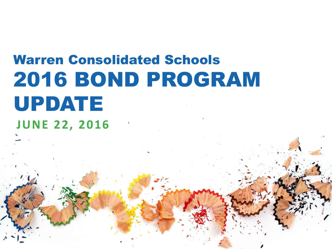# Warren Consolidated Schools 2016 BOND PROGRAM UPDATE **JUNE 22, 2016**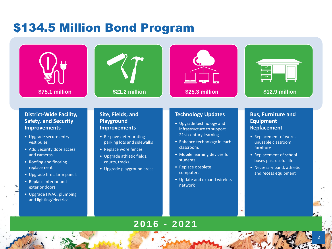## \$134.5 Million Bond Program





#### **District-Wide Facility, Safety, and Security Improvements**

- Upgrade secure entry vestibules
- Add Security door access and cameras
- Roofing and flooring replacement
- Upgrade fire alarm panels
- Replace interior and exterior doors
- Upgrade HVAC, plumbing and lighting/electrical

#### **Site, Fields, and Playground Improvements**

- Re-pave deteriorating parking lots and sidewalks
- Replace wore fences
- Upgrade athletic fields, courts, tracks
- Upgrade playground areas

#### **Technology Updates**

- Upgrade technology and infrastructure to support 21st century learning
- Enhance technology in each classroom.
- Mobile learning devices for students
- Replace obsolete computers
- Update and expand wireless network

#### **Bus, Furniture and Equipment Replacement**

- Replacement of worn, unusable classroom furniture
- Replacement of school buses past useful life
- Necessary band, athletic and recess equipment

**2**

### **2016 - 2021**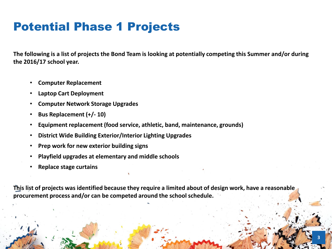# Potential Phase 1 Projects

**The following is a list of projects the Bond Team is looking at potentially competing this Summer and/or during the 2016/17 school year.**

- **Computer Replacement**
- **Laptop Cart Deployment**
- **Computer Network Storage Upgrades**
- **Bus Replacement (+/- 10)**
- **Equipment replacement (food service, athletic, band, maintenance, grounds)**
- **District Wide Building Exterior/Interior Lighting Upgrades**
- **Prep work for new exterior building signs**
- **Playfield upgrades at elementary and middle schools**
- **Replace stage curtains**

**This list of projects was identified because they require a limited about of design work, have a reasonable procurement process and/or can be competed around the school schedule.**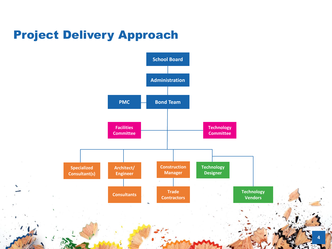## Project Delivery Approach

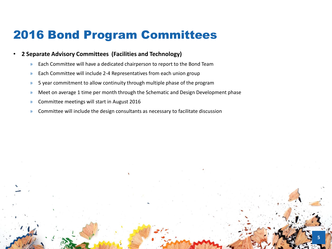### 2016 Bond Program Committees

#### • **2 Separate Advisory Committees (Facilities and Technology)**

- » Each Committee will have a dedicated chairperson to report to the Bond Team
- » Each Committee will include 2-4 Representatives from each union group
- » 5 year commitment to allow continuity through multiple phase of the program
- » Meet on average 1 time per month through the Schematic and Design Development phase

- » Committee meetings will start in August 2016
- » Committee will include the design consultants as necessary to facilitate discussion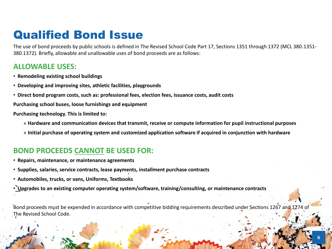### Qualified Bond Issue

The use of bond proceeds by public schools is defined in The Revised School Code Part 17, Sections 1351 through 1372 (MCL 380.1351- 380.1372). Briefly, allowable and unallowable uses of bond proceeds are as follows:

#### **ALLOWABLE USES:**

- **Remodeling existing school buildings**
- **Developing and improving sites, athletic facilities, playgrounds**
- **Direct bond program costs, such as: professional fees, election fees, issuance costs, audit costs**

**Purchasing school buses, loose furnishings and equipment**

**Purchasing technology. This is limited to:**

- » **Hardware and communication devices that transmit, receive or compute information for pupil instructional purposes**
- » **Initial purchase of operating system and customized application software if acquired in conjunction with hardware**

#### **BOND PROCEEDS CANNOT BE USED FOR:**

- **Repairs, maintenance, or maintenance agreements**
- **Supplies, salaries, service contracts, lease payments, installment purchase contracts**
- **Automobiles, trucks, or vans, Uniforms, Textbooks**
- **Upgrades to an existing computer operating system/software, training/consulting, or maintenance contracts**

Bond proceeds must be expended in accordance with competitive bidding requirements described under Sections 1267 and 1274 of The Revised School Code.